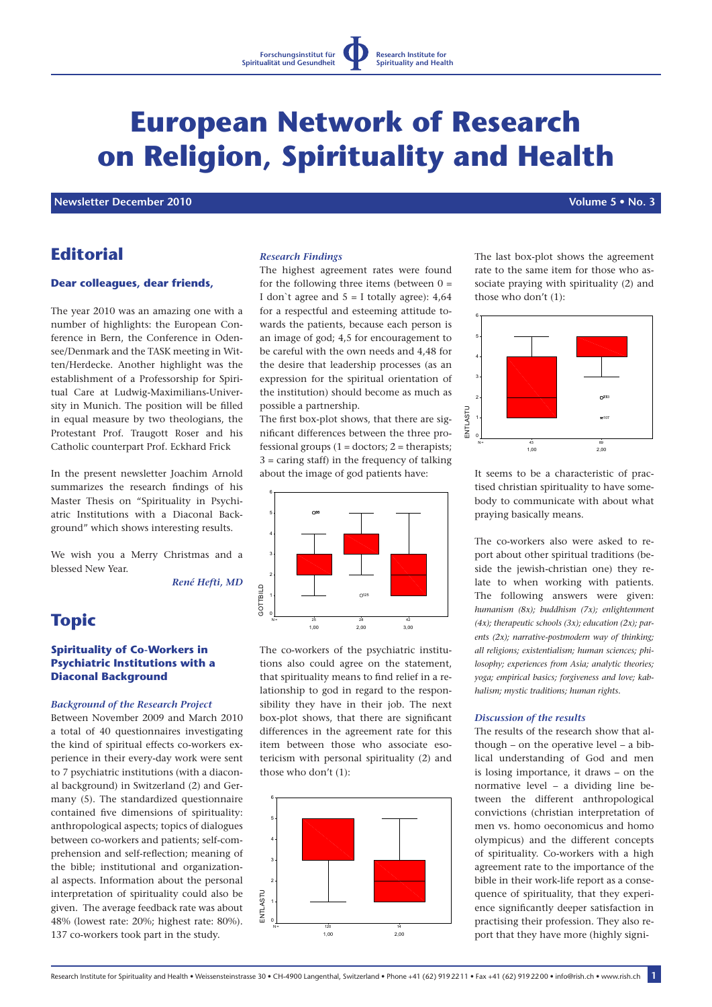# **European Network of Research on Religion, Spirituality and Health**

 **Newsletter December 2010 Volume 5 • No. 3**

# **Editorial**

#### **Dear colleagues, dear friends,**

The year 2010 was an amazing one with a number of highlights: the European Conference in Bern, the Conference in Odensee/Denmark and the TASK meeting in Witten/Herdecke. Another highlight was the establishment of a Professorship for Spiritual Care at Ludwig-Maximilians-University in Munich. The position will be filled in equal measure by two theologians, the Protestant Prof. Traugott Roser and his Catholic counterpart Prof. Eckhard Frick

In the present newsletter Joachim Arnold summarizes the research findings of his Master Thesis on "Spirituality in Psychiatric Institutions with a Diaconal Background" which shows interesting results.

We wish you a Merry Christmas and a blessed New Year.

*René Hefti, MD*

# **Topic**

### **Spirituality of Co-Workers in Psychiatric Institutions with a Diaconal Background**

#### *Background of the Research Project*

Between November 2009 and March 2010 a total of 40 questionnaires investigating the kind of spiritual effects co-workers experience in their every-day work were sent to 7 psychiatric institutions (with a diaconal background) in Switzerland (2) and Germany (5). The standardized questionnaire contained five dimensions of spirituality: anthropological aspects; topics of dialogues between co-workers and patients; self-comprehension and self-reflection; meaning of the bible; institutional and organizational aspects. Information about the personal interpretation of spirituality could also be given. The average feedback rate was about 48% (lowest rate: 20%; highest rate: 80%). 137 co-workers took part in the study.

### *Research Findings*

The highest agreement rates were found for the following three items (between  $0 =$ I don't agree and  $5 = I$  totally agree): 4,64 for a respectful and esteeming attitude towards the patients, because each person is an image of god; 4,5 for encouragement to be careful with the own needs and 4,48 for the desire that leadership processes (as an expression for the spiritual orientation of the institution) should become as much as possible a partnership.

The first box-plot shows, that there are significant differences between the three professional groups  $(1 =$  doctors;  $2 =$  therapists; 3 = caring staff) in the frequency of talking about the image of god patients have:



The co-workers of the psychiatric institutions also could agree on the statement, that spirituality means to find relief in a relationship to god in regard to the responsibility they have in their job. The next box-plot shows, that there are significant differences in the agreement rate for this item between those who associate esotericism with personal spirituality (2) and those who don't (1):



The last box-plot shows the agreement rate to the same item for those who associate praying with spirituality (2) and those who don't (1):



It seems to be a characteristic of practised christian spirituality to have somebody to communicate with about what praying basically means.

The co-workers also were asked to report about other spiritual traditions (beside the jewish-christian one) they relate to when working with patients. The following answers were given: *humanism (8x); buddhism (7x); enlightenment (4x); therapeutic schools (3x); education (2x); parents (2x); narrative-postmodern way of thinking; all religions; existentialism; human sciences; philosophy; experiences from Asia; analytic theories; yoga; empirical basics; forgiveness and love; kabhalism; mystic traditions; human rights.*

#### *Discussion of the results*

The results of the research show that although – on the operative level – a biblical understanding of God and men is losing importance, it draws – on the normative level – a dividing line between the different anthropological convictions (christian interpretation of men vs. homo oeconomicus and homo olympicus) and the different concepts of spirituality. Co-workers with a high agreement rate to the importance of the bible in their work-life report as a consequence of spirituality, that they experience significantly deeper satisfaction in practising their profession. They also report that they have more (highly signi-